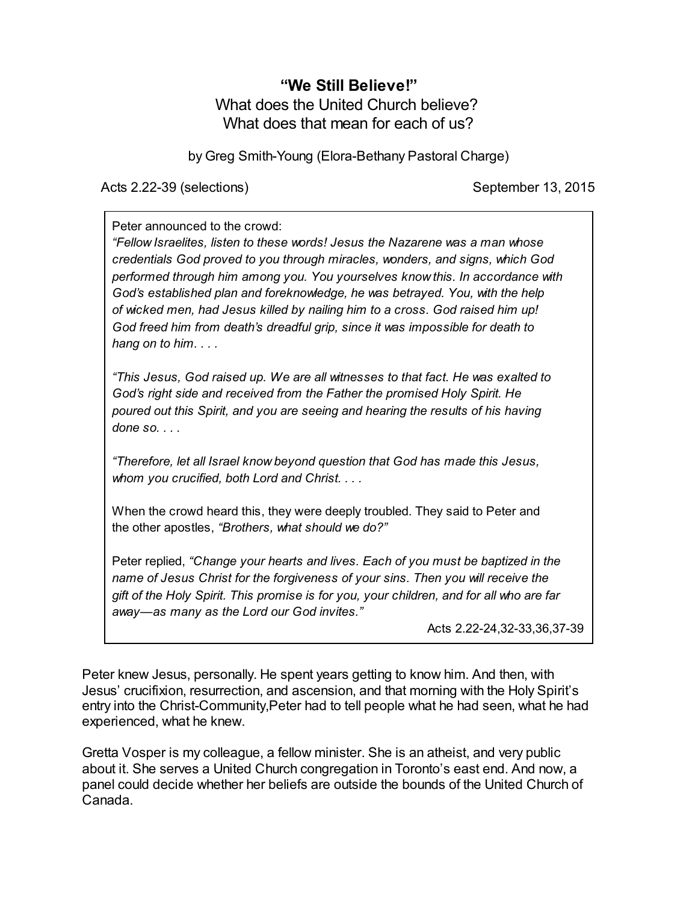## **"We Still Believe!"** What does the United Church believe? What does that mean for each of us?

by Greg Smith-Young (Elora-Bethany Pastoral Charge)

Acts 2.22-39 (selections) September 13, 2015

Peter announced to the crowd:

*"Fellow Israelites, listen to these words! Jesus the Nazarene was a man whose credentials God proved to you through miracles, wonders, and signs, which God performed through him among you. You yourselves know this. In accordance with God's established plan and foreknowledge, he was betrayed. You, with the help of wicked men, had Jesus killed by nailing him to a cross. God raised him up! God freed him from death's dreadful grip, since it was impossible for death to hang on to him. . . .*

*"This Jesus, God raised up. We are all witnesses to that fact. He was exalted to God's right side and received from the Father the promised Holy Spirit. He poured out this Spirit, and you are seeing and hearing the results of his having done so. . . .*

*"Therefore, let all Israel know beyond question that God has made this Jesus, whom you crucified, both Lord and Christ. . . .*

When the crowd heard this, they were deeply troubled. They said to Peter and the other apostles, *"Brothers, what should we do?"*

Peter replied, *"Change your hearts and lives. Each of you must be baptized in the name of Jesus Christ for the forgiveness of your sins. Then you will receive the gift of the Holy Spirit. This promise is for you, your children, and for all who are far away—as many as the Lord our God invites."*

Acts 2.22-24,32-33,36,37-39

Peter knew Jesus, personally. He spent years getting to know him. And then, with Jesus' crucifixion, resurrection, and ascension, and that morning with the Holy Spirit's entry into the Christ-Community,Peter had to tell people what he had seen, what he had experienced, what he knew.

Gretta Vosper is my colleague, a fellow minister. She is an atheist, and very public about it. She serves a United Church congregation in Toronto's east end. And now, a panel could decide whether her beliefs are outside the bounds of the United Church of Canada.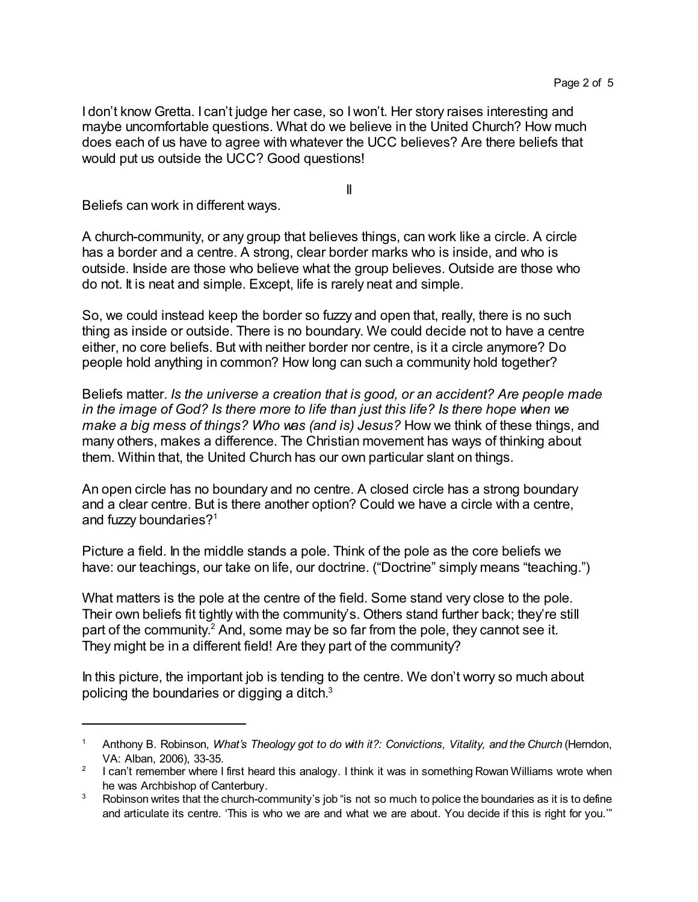I don't know Gretta. I can't judge her case, so I won't. Her story raises interesting and maybe uncomfortable questions. What do we believe in the United Church? How much does each of us have to agree with whatever the UCC believes? Are there beliefs that would put us outside the UCC? Good questions!

II

Beliefs can work in different ways.

A church-community, or any group that believes things, can work like a circle. A circle has a border and a centre. A strong, clear border marks who is inside, and who is outside. Inside are those who believe what the group believes. Outside are those who do not. It is neat and simple. Except, life is rarely neat and simple.

So, we could instead keep the border so fuzzy and open that, really, there is no such thing as inside or outside. There is no boundary. We could decide not to have a centre either, no core beliefs. But with neither border nor centre, is it a circle anymore? Do people hold anything in common? How long can such a community hold together?

Beliefs matter. *Is the universe a creation that is good, or an accident? Are people made in the image of God? Is there more to life than just this life? Is there hope when we make a big mess of things? Who was (and is) Jesus?* How we think of these things, and many others, makes a difference. The Christian movement has ways of thinking about them. Within that, the United Church has our own particular slant on things.

An open circle has no boundary and no centre. A closed circle has a strong boundary and a clear centre. But is there another option? Could we have a circle with a centre, and fuzzy boundaries?<sup>1</sup>

Picture a field. In the middle stands a pole. Think of the pole as the core beliefs we have: our teachings, our take on life, our doctrine. ("Doctrine" simply means "teaching.")

What matters is the pole at the centre of the field. Some stand very close to the pole. Their own beliefs fit tightly with the community's. Others stand further back; they're still part of the community.<sup>2</sup> And, some may be so far from the pole, they cannot see it. They might be in a different field! Are they part of the community?

In this picture, the important job is tending to the centre. We don't worry so much about policing the boundaries or digging a ditch. $^3$ 

<sup>1</sup> Anthony B. Robinson, *What's Theology got to do with it?: Convictions, Vitality, and the Church* (Herndon, VA: Alban, 2006), 33-35.

 $^2$  I can't remember where I first heard this analogy. I think it was in something Rowan Williams wrote when he was Archbishop of Canterbury.

<sup>&</sup>lt;sup>3</sup> Robinson writes that the church-community's job "is not so much to police the boundaries as it is to define and articulate its centre. 'This is who we are and what we are about. You decide if this is right for you.'"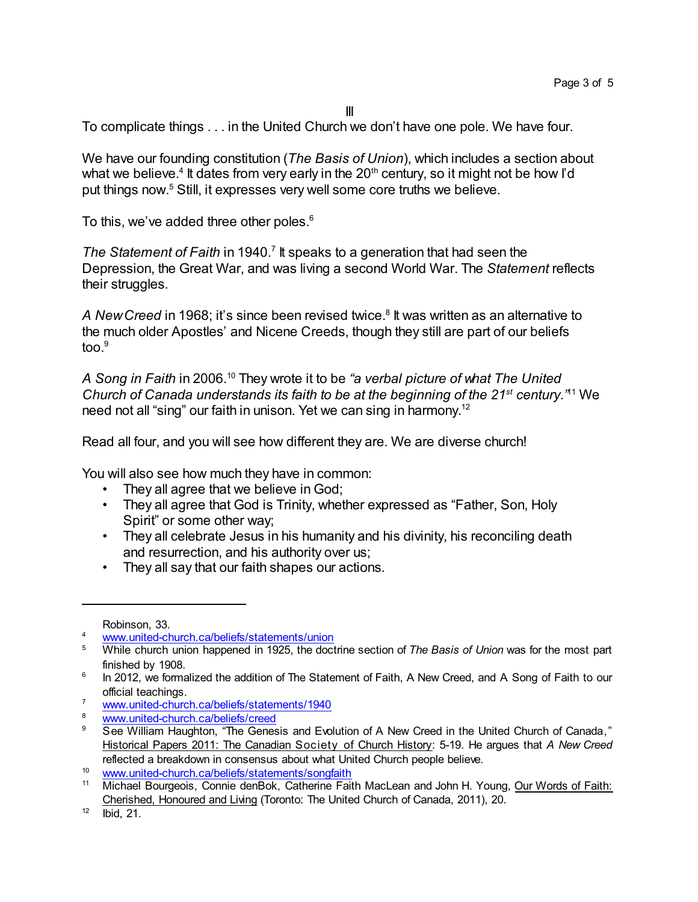III

To complicate things . . . in the United Church we don't have one pole. We have four.

We have our founding constitution (*The Basis of Union*), which includes a section about what we believe.<sup>4</sup> It dates from very early in the 20<sup>th</sup> century, so it might not be how I'd put things now. <sup>5</sup> Still, it expresses very well some core truths we believe.

To this, we've added three other poles.<sup>6</sup>

The Statement of Faith in 1940.<sup>7</sup> It speaks to a generation that had seen the Depression, the Great War, and was living a second World War. The *Statement* reflects their struggles.

A *NewCreed* in 1968; it's since been revised twice.<sup>8</sup> It was written as an alternative to the much older Apostles' and Nicene Creeds, though they still are part of our beliefs too $9$ 

*A Song in Faith* in 2006.<sup>10</sup> They wrote it to be *"a verbal picture of what The United Church of Canada understands its faith to be at the beginning of the 21st century."* <sup>11</sup> We need not all "sing" our faith in unison. Yet we can sing in harmony.<sup>12</sup>

Read all four, and you will see how different they are. We are diverse church!

You will also see how much they have in common:

- They all agree that we believe in God;
- They all agree that God is Trinity, whether expressed as "Father, Son, Holy Spirit" or some other way;
- They all celebrate Jesus in his humanity and his divinity, his reconciling death and resurrection, and his authority over us;
- They all say that our faith shapes our actions.

Robinson, 33.

[www.united-church.ca/beliefs/statements/union](http://www.united-church.ca/beliefs/statements/union)

<sup>5</sup> While church union happened in 1925, the doctrine section of *The Basis of Union* was for the most part finished by 1908.

 $^6$  In 2012, we formalized the addition of The Statement of Faith, A New Creed, and A Song of Faith to our official teachings.

<sup>7</sup> [www.united-church.ca/beliefs/statements/1940](http://www.united-church.ca/beliefs/statements/1940)

<sup>&</sup>lt;sup>8</sup> [www.united-church.ca/beliefs/creed](http://www.united-church.ca/beliefs/creed)<br>8 See William Haughton, "The Cones

<sup>9</sup> See William Haughton, "The Genesis and Evolution of A New Creed in the United Church of Canada," Historical Papers 2011: The Canadian Society of Church History: 5-19. He argues that *A New Creed* reflected a breakdown in consensus about what United Church people believe.

<sup>10</sup> [www.united-church.ca/beliefs/statements/songfaith](http://www.united-church.ca/beliefs/statements/songfaith)<br>11 Michael Bourgeois, Connie denBok, Catherine Fait

<sup>11</sup> Michael Bourgeois, Connie denBok, Catherine Faith MacLean and John H. Young, Our Words of Faith: Cherished, Honoured and Living (Toronto: The United Church of Canada, 2011), 20.

 $12$  Ibid, 21.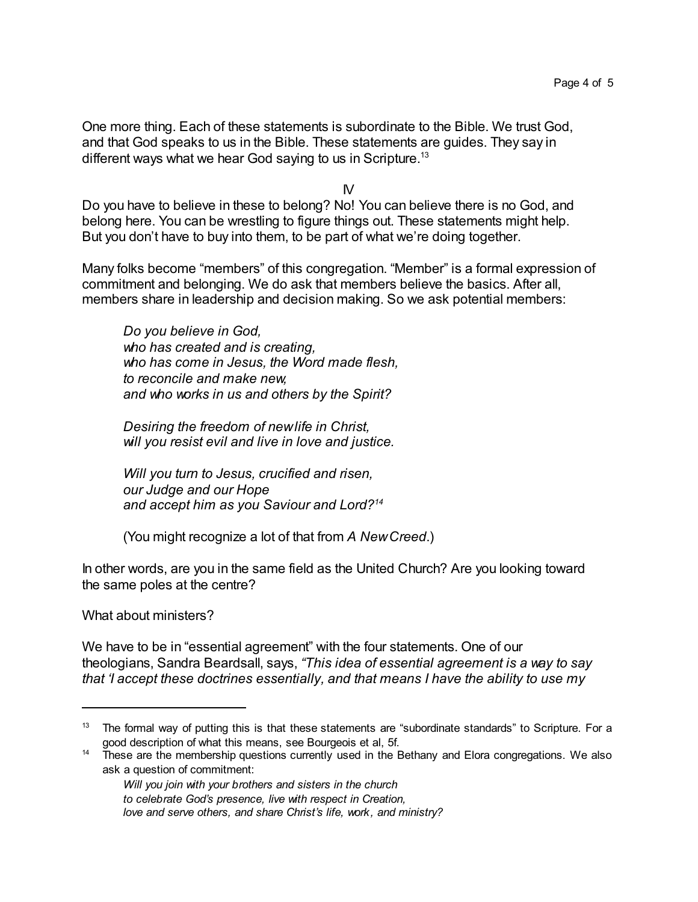One more thing. Each of these statements is subordinate to the Bible. We trust God, and that God speaks to us in the Bible. These statements are guides. They say in different ways what we hear God saying to us in Scripture.<sup>13</sup>

IV

Do you have to believe in these to belong? No! You can believe there is no God, and belong here. You can be wrestling to figure things out. These statements might help. But you don't have to buy into them, to be part of what we're doing together.

Many folks become "members" of this congregation. "Member" is a formal expression of commitment and belonging. We do ask that members believe the basics. After all, members share in leadership and decision making. So we ask potential members:

*Do you believe in God, who has created and is creating, who has come in Jesus, the Word made flesh, to reconcile and make new, and who works in us and others by the Spirit?*

*Desiring the freedom of newlife in Christ, will you resist evil and live in love and justice.*

*Will you turn to Jesus, crucified and risen, our Judge and our Hope and accept him as you Saviour and Lord?<sup>14</sup>*

(You might recognize a lot of that from *A NewCreed*.)

In other words, are you in the same field as the United Church? Are you looking toward the same poles at the centre?

What about ministers?

We have to be in "essential agreement" with the four statements. One of our theologians, Sandra Beardsall, says, *"This idea of essential agreement is a way to say that 'I accept these doctrines essentially, and that means I have the ability to use my*

<sup>&</sup>lt;sup>13</sup> The formal way of putting this is that these statements are "subordinate standards" to Scripture. For a good description of what this means, see Bourgeois et al, 5f.

<sup>&</sup>lt;sup>14</sup> These are the membership questions currently used in the Bethany and Elora congregations. We also ask a question of commitment:

*Will you join with your brothers and sisters in the church to celebrate God's presence, live with respect in Creation, love and serve others, and share Christ's life, work, and ministry?*